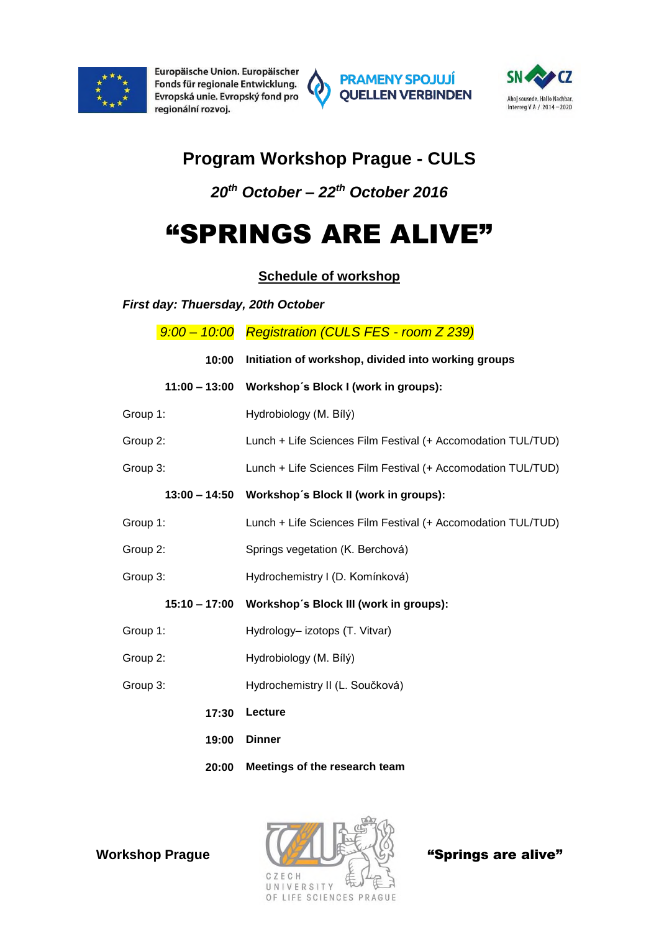

Europäische Union. Europäischer Fonds für regionale Entwicklung. Evropská unie. Evropský fond pro regionální rozvoj.







# **Program Workshop Prague - CULS**

# *20th October – 22th October 2016*

# "SPRINGS ARE ALIVE"

# **Schedule of workshop**

*First day: Thuersday, 20th October*

|                 | 9:00 - 10:00 Registration (CULS FES - room Z 239)            |  |
|-----------------|--------------------------------------------------------------|--|
| 10:00           | Initiation of workshop, divided into working groups          |  |
| $11:00 - 13:00$ | Workshop's Block I (work in groups):                         |  |
| Group 1:        | Hydrobiology (M. Bílý)                                       |  |
| Group 2:        | Lunch + Life Sciences Film Festival (+ Accomodation TUL/TUD) |  |
| Group 3:        | Lunch + Life Sciences Film Festival (+ Accomodation TUL/TUD) |  |
| $13:00 - 14:50$ | Workshop's Block II (work in groups):                        |  |
| Group 1:        | Lunch + Life Sciences Film Festival (+ Accomodation TUL/TUD) |  |
| Group 2:        | Springs vegetation (K. Berchová)                             |  |
| Group 3:        | Hydrochemistry I (D. Komínková)                              |  |
| $15:10 - 17:00$ | Workshop's Block III (work in groups):                       |  |
| Group 1:        | Hydrology-izotops (T. Vitvar)                                |  |
| Group 2:        | Hydrobiology (M. Bílý)                                       |  |
| Group 3:        | Hydrochemistry II (L. Součková)                              |  |
| 17:30           | Lecture                                                      |  |
| 19:00           | <b>Dinner</b>                                                |  |
| 20:00           | Meetings of the research team                                |  |

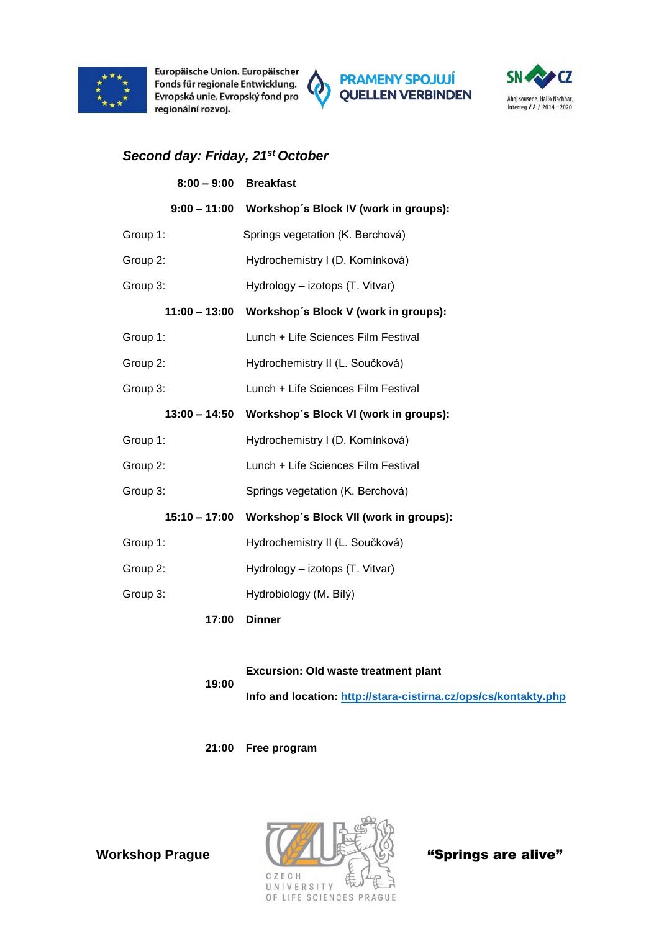

Europäische Union. Europäischer Fonds für regionale Entwicklung. Evropská unie. Evropský fond pro regionální rozvoj.





## *Second day: Friday, 21st October*

| $8:00 - 9:00$   | <b>Breakfast</b>                                   |
|-----------------|----------------------------------------------------|
|                 | 9:00 - 11:00 Workshop's Block IV (work in groups): |
| Group 1:        | Springs vegetation (K. Berchová)                   |
| Group 2:        | Hydrochemistry I (D. Komínková)                    |
| Group 3:        | Hydrology - izotops (T. Vitvar)                    |
| $11:00 - 13:00$ | Workshop's Block V (work in groups):               |
| Group 1:        | Lunch + Life Sciences Film Festival                |
| Group 2:        | Hydrochemistry II (L. Součková)                    |
| Group 3:        | Lunch + Life Sciences Film Festival                |
| 13:00 - 14:50   | Workshop's Block VI (work in groups):              |
| Group 1:        | Hydrochemistry I (D. Komínková)                    |
| Group 2:        | Lunch + Life Sciences Film Festival                |
| Group 3:        | Springs vegetation (K. Berchová)                   |
| 15:10 – 17:00   | Workshop's Block VII (work in groups):             |
| Group 1:        | Hydrochemistry II (L. Součková)                    |
| Group 2:        | Hydrology - izotops (T. Vitvar)                    |
| Group 3:        | Hydrobiology (M. Bílý)                             |
| 17:00           | <b>Dinner</b>                                      |

#### **19:00 Excursion: Old waste treatment plant Info and location:<http://stara-cistirna.cz/ops/cs/kontakty.php>**

**21:00 Free program**

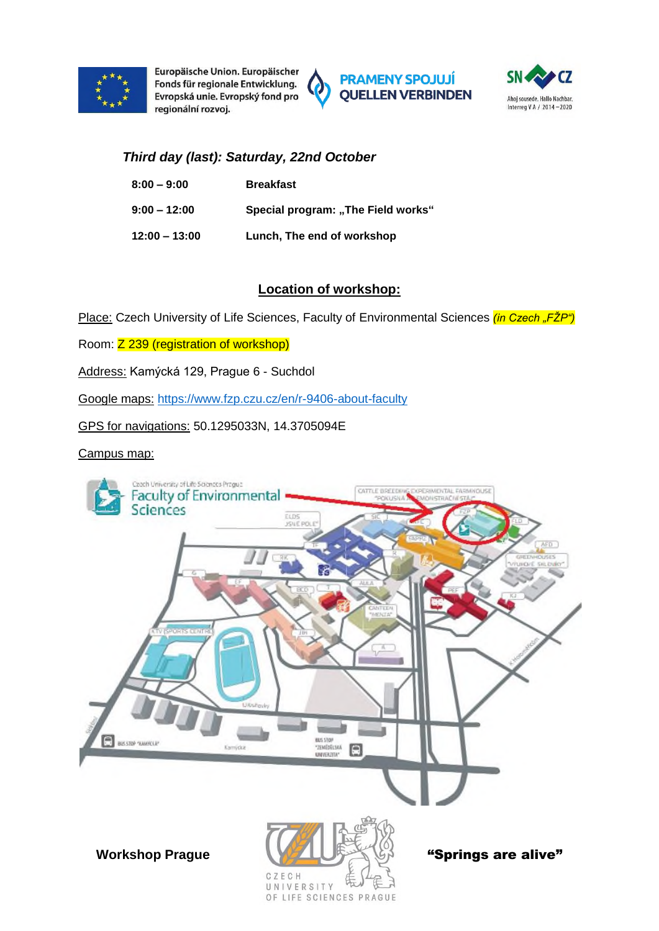

Europäische Union. Europäischer Fonds für regionale Entwicklung. Evropská unie. Evropský fond pro regionální rozvoj.





### *Third day (last): Saturday, 22nd October*

| $8:00 - 9:00$   | <b>Breakfast</b>                   |
|-----------------|------------------------------------|
| $9:00 - 12:00$  | Special program: "The Field works" |
| $12:00 - 13:00$ | Lunch, The end of workshop         |

#### **Location of workshop:**

Place: Czech University of Life Sciences, Faculty of Environmental Sciences *(in Czech "FŽP")* 

Room: Z 239 (registration of workshop)

Address: Kamýcká 129, Prague 6 - Suchdol

Google maps: <https://www.fzp.czu.cz/en/r-9406-about-faculty>

GPS for navigations: 50.1295033N, 14.3705094E

#### Campus map:

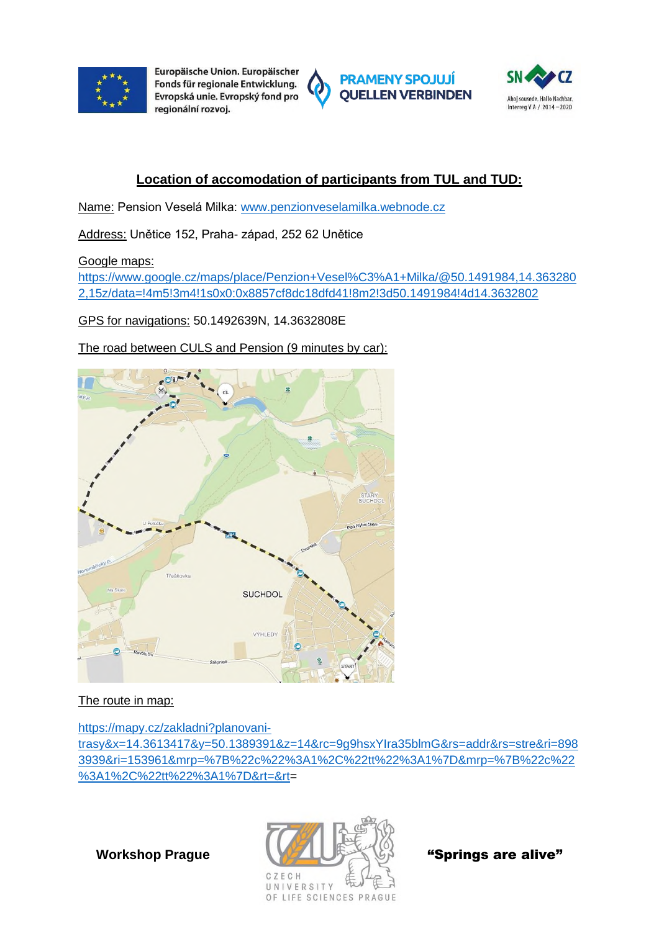

Europäische Union. Europäischer Fonds für regionale Entwicklung. Evropská unie. Evropský fond pro regionální rozvoi.







# **Location of accomodation of participants from TUL and TUD:**

Name: Pension Veselá Milka: [www.penzionveselamilka.webnode.cz](http://www.penzionveselamilka.webnode.cz/) 

Address: Unětice 152, Praha- západ, 252 62 Unětice

Google maps:

[https://www.google.cz/maps/place/Penzion+Vesel%C3%A1+Milka/@50.1491984,14.363280](https://www.google.cz/maps/place/Penzion+Vesel%C3%A1+Milka/@50.1491984,14.3632802,15z/data=!4m5!3m4!1s0x0:0x8857cf8dc18dfd41!8m2!3d50.1491984!4d14.3632802) [2,15z/data=!4m5!3m4!1s0x0:0x8857cf8dc18dfd41!8m2!3d50.1491984!4d14.3632802](https://www.google.cz/maps/place/Penzion+Vesel%C3%A1+Milka/@50.1491984,14.3632802,15z/data=!4m5!3m4!1s0x0:0x8857cf8dc18dfd41!8m2!3d50.1491984!4d14.3632802)

GPS for navigations: 50.1492639N, 14.3632808E

The road between CULS and Pension (9 minutes by car):



## The route in map:

[https://mapy.cz/zakladni?planovani](https://mapy.cz/zakladni?planovani-trasy&x=14.3613417&y=50.1389391&z=14&rc=9g9hsxYIra35blmG&rs=addr&rs=stre&ri=8983939&ri=153961&mrp=%7B%22c%22%3A1%2C%22tt%22%3A1%7D&mrp=%7B%22c%22%3A1%2C%22tt%22%3A1%7D&rt=&rt)[trasy&x=14.3613417&y=50.1389391&z=14&rc=9g9hsxYIra35blmG&rs=addr&rs=stre&ri=898](https://mapy.cz/zakladni?planovani-trasy&x=14.3613417&y=50.1389391&z=14&rc=9g9hsxYIra35blmG&rs=addr&rs=stre&ri=8983939&ri=153961&mrp=%7B%22c%22%3A1%2C%22tt%22%3A1%7D&mrp=%7B%22c%22%3A1%2C%22tt%22%3A1%7D&rt=&rt) [3939&ri=153961&mrp=%7B%22c%22%3A1%2C%22tt%22%3A1%7D&mrp=%7B%22c%22](https://mapy.cz/zakladni?planovani-trasy&x=14.3613417&y=50.1389391&z=14&rc=9g9hsxYIra35blmG&rs=addr&rs=stre&ri=8983939&ri=153961&mrp=%7B%22c%22%3A1%2C%22tt%22%3A1%7D&mrp=%7B%22c%22%3A1%2C%22tt%22%3A1%7D&rt=&rt) [%3A1%2C%22tt%22%3A1%7D&rt=&rt=](https://mapy.cz/zakladni?planovani-trasy&x=14.3613417&y=50.1389391&z=14&rc=9g9hsxYIra35blmG&rs=addr&rs=stre&ri=8983939&ri=153961&mrp=%7B%22c%22%3A1%2C%22tt%22%3A1%7D&mrp=%7B%22c%22%3A1%2C%22tt%22%3A1%7D&rt=&rt)